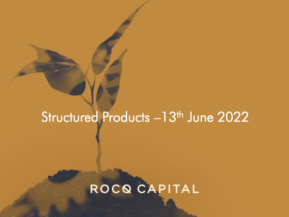## Structured Products -13<sup>th</sup> June 2022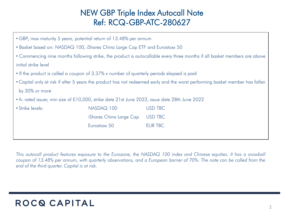#### NEW GBP Triple Index Autocall Note Ref: RCQ-GBP-ATC-280627

| • GBP, max maturity 5 years, potential return of 13.48% per annum                                                            |                         |                |  |
|------------------------------------------------------------------------------------------------------------------------------|-------------------------|----------------|--|
| • Basket based on: NASDAQ 100, iShares China Large Cap ETF and Eurostoxx 50                                                  |                         |                |  |
| • Commencing nine months following strike, the product is autocallable every three months if all basket members are above    |                         |                |  |
| initial strike level                                                                                                         |                         |                |  |
| • If the product is called a coupon of 3.37% x number of quarterly periods elapsed is paid                                   |                         |                |  |
| • Capital only at risk if after 5 years the product has not redeemed early and the worst performing basket member has fallen |                         |                |  |
| by 30% or more                                                                                                               |                         |                |  |
| • A- rated issuer, min size of £10,000, strike date 21st June 2022, issue date 28th June 2022                                |                         |                |  |
| • Strike levels:                                                                                                             | NASDAQ 100              | <b>USD TBC</b> |  |
|                                                                                                                              | iShares China Large Cap | <b>USD TBC</b> |  |
|                                                                                                                              | Eurostoxx 50            | <b>EUR TBC</b> |  |
|                                                                                                                              |                         |                |  |

This autocall product features exposure to the Eurozone, the NASDAQ 100 index and Chinese equities. It has a snowball coupon of 13.48% per annum, with quarterly observations, and a European barrier of 70%. The note can be called from the *end of the third quarter. Capital is at risk.*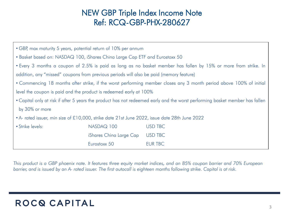#### NEW GBP Triple Index Income Note Ref: RCQ-GBP-PHX-280627

| • GBP, max maturity 5 years, potential return of 10% per annum                                                               |                         |                |  |
|------------------------------------------------------------------------------------------------------------------------------|-------------------------|----------------|--|
| • Basket based on: NASDAQ 100, iShares China Large Cap ETF and Eurostoxx 50                                                  |                         |                |  |
| • Every 3 months a coupon of 2.5% is paid as long as no basket member has fallen by 15% or more from strike. In              |                         |                |  |
| addition, any "missed" coupons from previous periods will also be paid (memory feature)                                      |                         |                |  |
| • Commencing 18 months after strike, if the worst performing member closes any 3 month period above 100% of initial          |                         |                |  |
| level the coupon is paid and the product is redeemed early at 100%                                                           |                         |                |  |
| • Capital only at risk if after 5 years the product has not redeemed early and the worst performing basket member has fallen |                         |                |  |
| by 30% or more                                                                                                               |                         |                |  |
| • A- rated issuer, min size of £10,000, strike date 21st June 2022, issue date 28th June 2022                                |                         |                |  |
| • Strike levels:                                                                                                             | NASDAQ 100              | <b>USD TBC</b> |  |
|                                                                                                                              | iShares China Large Cap | <b>USD TBC</b> |  |
|                                                                                                                              | Eurostoxx 50            | <b>EUR TBC</b> |  |

This product is a GBP phoenix note. It features three equity market indices, and an 85% coupon barrier and 70% European barrier, and is issued by an A- rated issuer. The first autocall is eighteen months following strike. Capital is at risk.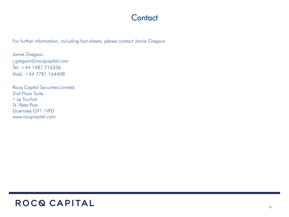#### **Contact**

For further information, including fact-sheets, please contact Jamie Gregson

Jamie Gregson j.gregson@rocqcapital.com Tel: +44 1481 716336 Mob: +44 7781 164408

Rocq Capital Securities Limited 2nd Floor Suite 1 Le Truchot St. Peter Port Guernsey GY1 1WD www.rocqcapital.com